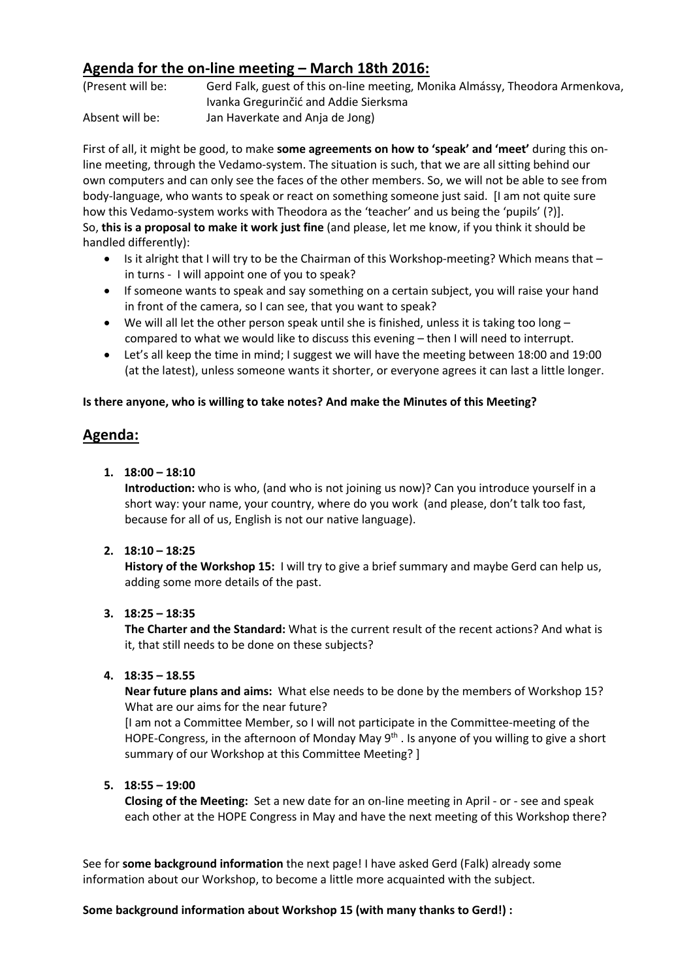## **Agenda for the on-line meeting – March 18th 2016:**

(Present will be: Gerd Falk, guest of this on-line meeting, Monika Almássy, Theodora Armenkova, Ivanka Gregurinčić and Addie Sierksma Absent will be: Jan Haverkate and Anja de Jong)

First of all, it might be good, to make **some agreements on how to 'speak' and 'meet'** during this online meeting, through the Vedamo-system. The situation is such, that we are all sitting behind our own computers and can only see the faces of the other members. So, we will not be able to see from body-language, who wants to speak or react on something someone just said. [I am not quite sure how this Vedamo-system works with Theodora as the 'teacher' and us being the 'pupils' (?)]. So, **this is a proposal to make it work just fine** (and please, let me know, if you think it should be handled differently):

- Is it alright that I will try to be the Chairman of this Workshop-meeting? Which means that in turns - I will appoint one of you to speak?
- If someone wants to speak and say something on a certain subject, you will raise your hand in front of the camera, so I can see, that you want to speak?
- We will all let the other person speak until she is finished, unless it is taking too long  $$ compared to what we would like to discuss this evening – then I will need to interrupt.
- Let's all keep the time in mind; I suggest we will have the meeting between 18:00 and 19:00 (at the latest), unless someone wants it shorter, or everyone agrees it can last a little longer.

#### **Is there anyone, who is willing to take notes? And make the Minutes of this Meeting?**

# **Agenda:**

**1. 18:00 – 18:10** 

**Introduction:** who is who, (and who is not joining us now)? Can you introduce yourself in a short way: your name, your country, where do you work (and please, don't talk too fast, because for all of us, English is not our native language).

## **2. 18:10 – 18:25**

**History of the Workshop 15:** I will try to give a brief summary and maybe Gerd can help us, adding some more details of the past.

## **3. 18:25 – 18:35**

**The Charter and the Standard:** What is the current result of the recent actions? And what is it, that still needs to be done on these subjects?

#### **4. 18:35 – 18.55**

**Near future plans and aims:** What else needs to be done by the members of Workshop 15? What are our aims for the near future?

[I am not a Committee Member, so I will not participate in the Committee-meeting of the HOPE-Congress, in the afternoon of Monday May 9<sup>th</sup>. Is anyone of you willing to give a short summary of our Workshop at this Committee Meeting? ]

## **5. 18:55 – 19:00**

**Closing of the Meeting:** Set a new date for an on-line meeting in April - or - see and speak each other at the HOPE Congress in May and have the next meeting of this Workshop there?

See for **some background information** the next page! I have asked Gerd (Falk) already some information about our Workshop, to become a little more acquainted with the subject.

#### **Some background information about Workshop 15 (with many thanks to Gerd!) :**